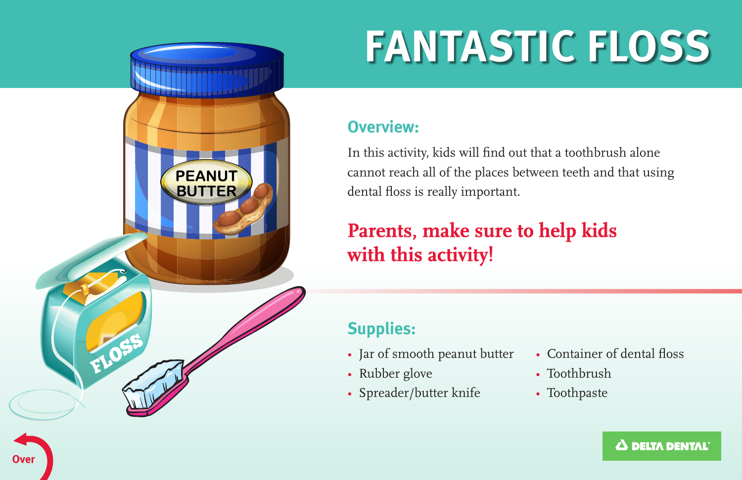

**Over** 

# **FANTASTIC FLOSS**

#### **Overview:**

In this activity, kids will fnd out that a toothbrush alone cannot reach all of the places between teeth and that using dental foss is really important.

## **Parents, make sure to help kids**  $\text{with this activity!}$

#### **Supplies:**

- Jar of smooth peanut butter
- Rubber glove
- Spreader/butter knife
- Container of dental floss
- Toothbrush
- Toothpaste